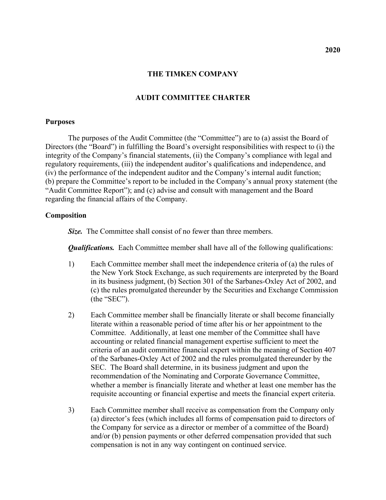### **THE TIMKEN COMPANY**

# **AUDIT COMMITTEE CHARTER**

### **Purposes**

The purposes of the Audit Committee (the "Committee") are to (a) assist the Board of Directors (the "Board") in fulfilling the Board's oversight responsibilities with respect to (i) the integrity of the Company's financial statements, (ii) the Company's compliance with legal and regulatory requirements, (iii) the independent auditor's qualifications and independence, and (iv) the performance of the independent auditor and the Company's internal audit function; (b) prepare the Committee's report to be included in the Company's annual proxy statement (the "Audit Committee Report"); and (c) advise and consult with management and the Board regarding the financial affairs of the Company.

## **Composition**

*Size.* The Committee shall consist of no fewer than three members.

*Qualifications.* Each Committee member shall have all of the following qualifications:

- 1) Each Committee member shall meet the independence criteria of (a) the rules of the New York Stock Exchange, as such requirements are interpreted by the Board in its business judgment, (b) Section 301 of the Sarbanes-Oxley Act of 2002, and (c) the rules promulgated thereunder by the Securities and Exchange Commission (the "SEC").
- 2) Each Committee member shall be financially literate or shall become financially literate within a reasonable period of time after his or her appointment to the Committee. Additionally, at least one member of the Committee shall have accounting or related financial management expertise sufficient to meet the criteria of an audit committee financial expert within the meaning of Section 407 of the Sarbanes-Oxley Act of 2002 and the rules promulgated thereunder by the SEC. The Board shall determine, in its business judgment and upon the recommendation of the Nominating and Corporate Governance Committee, whether a member is financially literate and whether at least one member has the requisite accounting or financial expertise and meets the financial expert criteria.
- 3) Each Committee member shall receive as compensation from the Company only (a) director's fees (which includes all forms of compensation paid to directors of the Company for service as a director or member of a committee of the Board) and/or (b) pension payments or other deferred compensation provided that such compensation is not in any way contingent on continued service.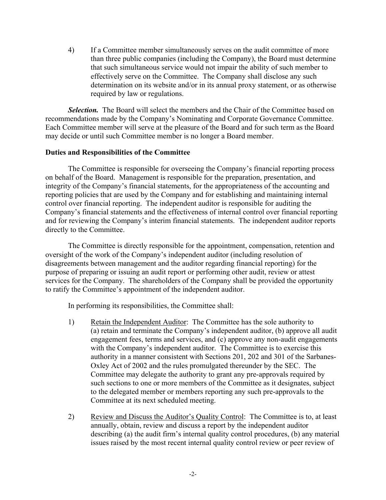4) If a Committee member simultaneously serves on the audit committee of more than three public companies (including the Company), the Board must determine that such simultaneous service would not impair the ability of such member to effectively serve on the Committee. The Company shall disclose any such determination on its website and/or in its annual proxy statement, or as otherwise required by law or regulations.

**Selection.** The Board will select the members and the Chair of the Committee based on recommendations made by the Company's Nominating and Corporate Governance Committee. Each Committee member will serve at the pleasure of the Board and for such term as the Board may decide or until such Committee member is no longer a Board member.

# **Duties and Responsibilities of the Committee**

The Committee is responsible for overseeing the Company's financial reporting process on behalf of the Board. Management is responsible for the preparation, presentation, and integrity of the Company's financial statements, for the appropriateness of the accounting and reporting policies that are used by the Company and for establishing and maintaining internal control over financial reporting. The independent auditor is responsible for auditing the Company's financial statements and the effectiveness of internal control over financial reporting and for reviewing the Company's interim financial statements. The independent auditor reports directly to the Committee.

The Committee is directly responsible for the appointment, compensation, retention and oversight of the work of the Company's independent auditor (including resolution of disagreements between management and the auditor regarding financial reporting) for the purpose of preparing or issuing an audit report or performing other audit, review or attest services for the Company. The shareholders of the Company shall be provided the opportunity to ratify the Committee's appointment of the independent auditor.

In performing its responsibilities, the Committee shall:

- 1) Retain the Independent Auditor: The Committee has the sole authority to (a) retain and terminate the Company's independent auditor, (b) approve all audit engagement fees, terms and services, and (c) approve any non-audit engagements with the Company's independent auditor. The Committee is to exercise this authority in a manner consistent with Sections 201, 202 and 301 of the Sarbanes-Oxley Act of 2002 and the rules promulgated thereunder by the SEC. The Committee may delegate the authority to grant any pre-approvals required by such sections to one or more members of the Committee as it designates, subject to the delegated member or members reporting any such pre-approvals to the Committee at its next scheduled meeting.
- 2) Review and Discuss the Auditor's Quality Control: The Committee is to, at least annually, obtain, review and discuss a report by the independent auditor describing (a) the audit firm's internal quality control procedures, (b) any material issues raised by the most recent internal quality control review or peer review of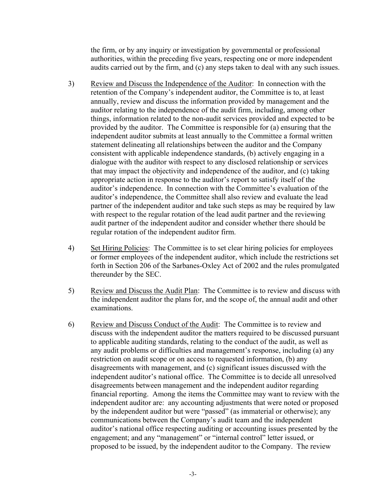the firm, or by any inquiry or investigation by governmental or professional authorities, within the preceding five years, respecting one or more independent audits carried out by the firm, and (c) any steps taken to deal with any such issues.

- 3) Review and Discuss the Independence of the Auditor: In connection with the retention of the Company's independent auditor, the Committee is to, at least annually, review and discuss the information provided by management and the auditor relating to the independence of the audit firm, including, among other things, information related to the non-audit services provided and expected to be provided by the auditor. The Committee is responsible for (a) ensuring that the independent auditor submits at least annually to the Committee a formal written statement delineating all relationships between the auditor and the Company consistent with applicable independence standards, (b) actively engaging in a dialogue with the auditor with respect to any disclosed relationship or services that may impact the objectivity and independence of the auditor, and (c) taking appropriate action in response to the auditor's report to satisfy itself of the auditor's independence. In connection with the Committee's evaluation of the auditor's independence, the Committee shall also review and evaluate the lead partner of the independent auditor and take such steps as may be required by law with respect to the regular rotation of the lead audit partner and the reviewing audit partner of the independent auditor and consider whether there should be regular rotation of the independent auditor firm.
- 4) Set Hiring Policies: The Committee is to set clear hiring policies for employees or former employees of the independent auditor, which include the restrictions set forth in Section 206 of the Sarbanes-Oxley Act of 2002 and the rules promulgated thereunder by the SEC.
- 5) Review and Discuss the Audit Plan: The Committee is to review and discuss with the independent auditor the plans for, and the scope of, the annual audit and other examinations.
- 6) Review and Discuss Conduct of the Audit: The Committee is to review and discuss with the independent auditor the matters required to be discussed pursuant to applicable auditing standards, relating to the conduct of the audit, as well as any audit problems or difficulties and management's response, including (a) any restriction on audit scope or on access to requested information, (b) any disagreements with management, and (c) significant issues discussed with the independent auditor's national office. The Committee is to decide all unresolved disagreements between management and the independent auditor regarding financial reporting. Among the items the Committee may want to review with the independent auditor are: any accounting adjustments that were noted or proposed by the independent auditor but were "passed" (as immaterial or otherwise); any communications between the Company's audit team and the independent auditor's national office respecting auditing or accounting issues presented by the engagement; and any "management" or "internal control" letter issued, or proposed to be issued, by the independent auditor to the Company. The review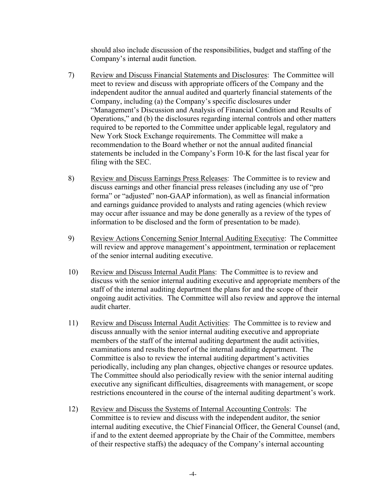should also include discussion of the responsibilities, budget and staffing of the Company's internal audit function.

- 7) Review and Discuss Financial Statements and Disclosures: The Committee will meet to review and discuss with appropriate officers of the Company and the independent auditor the annual audited and quarterly financial statements of the Company, including (a) the Company's specific disclosures under "Management's Discussion and Analysis of Financial Condition and Results of Operations," and (b) the disclosures regarding internal controls and other matters required to be reported to the Committee under applicable legal, regulatory and New York Stock Exchange requirements. The Committee will make a recommendation to the Board whether or not the annual audited financial statements be included in the Company's Form 10-K for the last fiscal year for filing with the SEC.
- 8) Review and Discuss Earnings Press Releases: The Committee is to review and discuss earnings and other financial press releases (including any use of "pro forma" or "adjusted" non-GAAP information), as well as financial information and earnings guidance provided to analysts and rating agencies (which review may occur after issuance and may be done generally as a review of the types of information to be disclosed and the form of presentation to be made).
- 9) Review Actions Concerning Senior Internal Auditing Executive: The Committee will review and approve management's appointment, termination or replacement of the senior internal auditing executive.
- 10) Review and Discuss Internal Audit Plans: The Committee is to review and discuss with the senior internal auditing executive and appropriate members of the staff of the internal auditing department the plans for and the scope of their ongoing audit activities. The Committee will also review and approve the internal audit charter.
- 11) Review and Discuss Internal Audit Activities: The Committee is to review and discuss annually with the senior internal auditing executive and appropriate members of the staff of the internal auditing department the audit activities, examinations and results thereof of the internal auditing department. The Committee is also to review the internal auditing department's activities periodically, including any plan changes, objective changes or resource updates. The Committee should also periodically review with the senior internal auditing executive any significant difficulties, disagreements with management, or scope restrictions encountered in the course of the internal auditing department's work.
- 12) Review and Discuss the Systems of Internal Accounting Controls: The Committee is to review and discuss with the independent auditor, the senior internal auditing executive, the Chief Financial Officer, the General Counsel (and, if and to the extent deemed appropriate by the Chair of the Committee, members of their respective staffs) the adequacy of the Company's internal accounting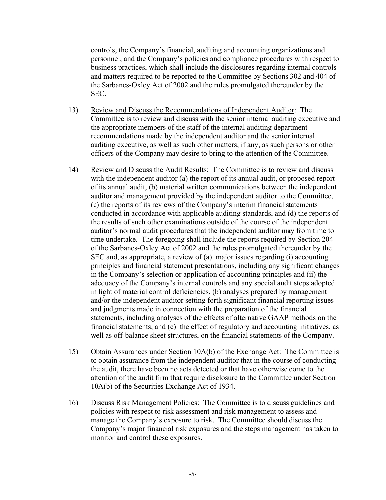controls, the Company's financial, auditing and accounting organizations and personnel, and the Company's policies and compliance procedures with respect to business practices, which shall include the disclosures regarding internal controls and matters required to be reported to the Committee by Sections 302 and 404 of the Sarbanes-Oxley Act of 2002 and the rules promulgated thereunder by the SEC.

- 13) Review and Discuss the Recommendations of Independent Auditor: The Committee is to review and discuss with the senior internal auditing executive and the appropriate members of the staff of the internal auditing department recommendations made by the independent auditor and the senior internal auditing executive, as well as such other matters, if any, as such persons or other officers of the Company may desire to bring to the attention of the Committee.
- 14) Review and Discuss the Audit Results: The Committee is to review and discuss with the independent auditor (a) the report of its annual audit, or proposed report of its annual audit, (b) material written communications between the independent auditor and management provided by the independent auditor to the Committee, (c) the reports of its reviews of the Company's interim financial statements conducted in accordance with applicable auditing standards, and (d) the reports of the results of such other examinations outside of the course of the independent auditor's normal audit procedures that the independent auditor may from time to time undertake. The foregoing shall include the reports required by Section 204 of the Sarbanes-Oxley Act of 2002 and the rules promulgated thereunder by the SEC and, as appropriate, a review of (a) major issues regarding (i) accounting principles and financial statement presentations, including any significant changes in the Company's selection or application of accounting principles and (ii) the adequacy of the Company's internal controls and any special audit steps adopted in light of material control deficiencies, (b) analyses prepared by management and/or the independent auditor setting forth significant financial reporting issues and judgments made in connection with the preparation of the financial statements, including analyses of the effects of alternative GAAP methods on the financial statements, and (c) the effect of regulatory and accounting initiatives, as well as off-balance sheet structures, on the financial statements of the Company.
- 15) Obtain Assurances under Section 10A(b) of the Exchange Act: The Committee is to obtain assurance from the independent auditor that in the course of conducting the audit, there have been no acts detected or that have otherwise come to the attention of the audit firm that require disclosure to the Committee under Section 10A(b) of the Securities Exchange Act of 1934.
- 16) Discuss Risk Management Policies: The Committee is to discuss guidelines and policies with respect to risk assessment and risk management to assess and manage the Company's exposure to risk. The Committee should discuss the Company's major financial risk exposures and the steps management has taken to monitor and control these exposures.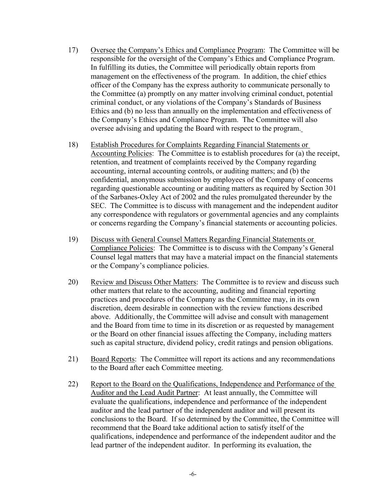- 17) Oversee the Company's Ethics and Compliance Program: The Committee will be responsible for the oversight of the Company's Ethics and Compliance Program. In fulfilling its duties, the Committee will periodically obtain reports from management on the effectiveness of the program. In addition, the chief ethics officer of the Company has the express authority to communicate personally to the Committee (a) promptly on any matter involving criminal conduct, potential criminal conduct, or any violations of the Company's Standards of Business Ethics and (b) no less than annually on the implementation and effectiveness of the Company's Ethics and Compliance Program. The Committee will also oversee advising and updating the Board with respect to the program.
- 18) Establish Procedures for Complaints Regarding Financial Statements or Accounting Policies: The Committee is to establish procedures for (a) the receipt, retention, and treatment of complaints received by the Company regarding accounting, internal accounting controls, or auditing matters; and (b) the confidential, anonymous submission by employees of the Company of concerns regarding questionable accounting or auditing matters as required by Section 301 of the Sarbanes-Oxley Act of 2002 and the rules promulgated thereunder by the SEC. The Committee is to discuss with management and the independent auditor any correspondence with regulators or governmental agencies and any complaints or concerns regarding the Company's financial statements or accounting policies.
- 19) Discuss with General Counsel Matters Regarding Financial Statements or Compliance Policies: The Committee is to discuss with the Company's General Counsel legal matters that may have a material impact on the financial statements or the Company's compliance policies.
- 20) Review and Discuss Other Matters: The Committee is to review and discuss such other matters that relate to the accounting, auditing and financial reporting practices and procedures of the Company as the Committee may, in its own discretion, deem desirable in connection with the review functions described above. Additionally, the Committee will advise and consult with management and the Board from time to time in its discretion or as requested by management or the Board on other financial issues affecting the Company, including matters such as capital structure, dividend policy, credit ratings and pension obligations.
- 21) Board Reports: The Committee will report its actions and any recommendations to the Board after each Committee meeting.
- 22) Report to the Board on the Qualifications, Independence and Performance of the Auditor and the Lead Audit Partner: At least annually, the Committee will evaluate the qualifications, independence and performance of the independent auditor and the lead partner of the independent auditor and will present its conclusions to the Board. If so determined by the Committee, the Committee will recommend that the Board take additional action to satisfy itself of the qualifications, independence and performance of the independent auditor and the lead partner of the independent auditor. In performing its evaluation, the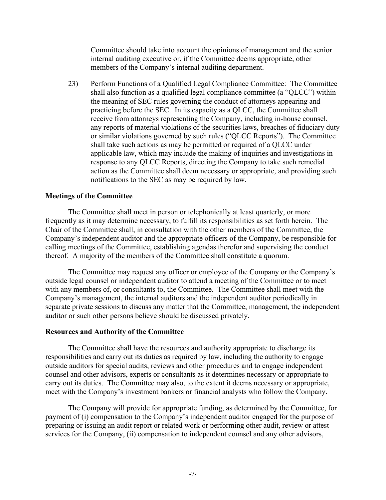Committee should take into account the opinions of management and the senior internal auditing executive or, if the Committee deems appropriate, other members of the Company's internal auditing department.

23) Perform Functions of a Qualified Legal Compliance Committee: The Committee shall also function as a qualified legal compliance committee (a "QLCC") within the meaning of SEC rules governing the conduct of attorneys appearing and practicing before the SEC. In its capacity as a QLCC, the Committee shall receive from attorneys representing the Company, including in-house counsel, any reports of material violations of the securities laws, breaches of fiduciary duty or similar violations governed by such rules ("QLCC Reports"). The Committee shall take such actions as may be permitted or required of a QLCC under applicable law, which may include the making of inquiries and investigations in response to any QLCC Reports, directing the Company to take such remedial action as the Committee shall deem necessary or appropriate, and providing such notifications to the SEC as may be required by law.

## **Meetings of the Committee**

The Committee shall meet in person or telephonically at least quarterly, or more frequently as it may determine necessary, to fulfill its responsibilities as set forth herein. The Chair of the Committee shall, in consultation with the other members of the Committee, the Company's independent auditor and the appropriate officers of the Company, be responsible for calling meetings of the Committee, establishing agendas therefor and supervising the conduct thereof. A majority of the members of the Committee shall constitute a quorum.

The Committee may request any officer or employee of the Company or the Company's outside legal counsel or independent auditor to attend a meeting of the Committee or to meet with any members of, or consultants to, the Committee. The Committee shall meet with the Company's management, the internal auditors and the independent auditor periodically in separate private sessions to discuss any matter that the Committee, management, the independent auditor or such other persons believe should be discussed privately.

#### **Resources and Authority of the Committee**

The Committee shall have the resources and authority appropriate to discharge its responsibilities and carry out its duties as required by law, including the authority to engage outside auditors for special audits, reviews and other procedures and to engage independent counsel and other advisors, experts or consultants as it determines necessary or appropriate to carry out its duties. The Committee may also, to the extent it deems necessary or appropriate, meet with the Company's investment bankers or financial analysts who follow the Company.

The Company will provide for appropriate funding, as determined by the Committee, for payment of (i) compensation to the Company's independent auditor engaged for the purpose of preparing or issuing an audit report or related work or performing other audit, review or attest services for the Company, (ii) compensation to independent counsel and any other advisors,